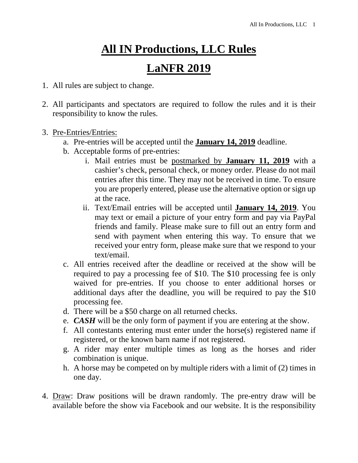## **All IN Productions, LLC Rules**

## **LaNFR 2019**

- 1. All rules are subject to change.
- 2. All participants and spectators are required to follow the rules and it is their responsibility to know the rules.
- 3. Pre-Entries/Entries:
	- a. Pre-entries will be accepted until the **January 14, 2019** deadline.
	- b. Acceptable forms of pre-entries:
		- i. Mail entries must be postmarked by **January 11, 2019** with a cashier's check, personal check, or money order*.* Please do not mail entries after this time. They may not be received in time. To ensure you are properly entered, please use the alternative option or sign up at the race.
		- ii. Text/Email entries will be accepted until **January 14, 2019**. You may text or email a picture of your entry form and pay via PayPal friends and family. Please make sure to fill out an entry form and send with payment when entering this way. To ensure that we received your entry form, please make sure that we respond to your text/email.
	- c. All entries received after the deadline or received at the show will be required to pay a processing fee of \$10. The \$10 processing fee is only waived for pre-entries. If you choose to enter additional horses or additional days after the deadline, you will be required to pay the \$10 processing fee.
	- d. There will be a \$50 charge on all returned checks.
	- e. *CASH* will be the only form of payment if you are entering at the show.
	- f. All contestants entering must enter under the horse(s) registered name if registered, or the known barn name if not registered.
	- g. A rider may enter multiple times as long as the horses and rider combination is unique.
	- h. A horse may be competed on by multiple riders with a limit of (2) times in one day.
- 4. Draw: Draw positions will be drawn randomly. The pre-entry draw will be available before the show via Facebook and our website. It is the responsibility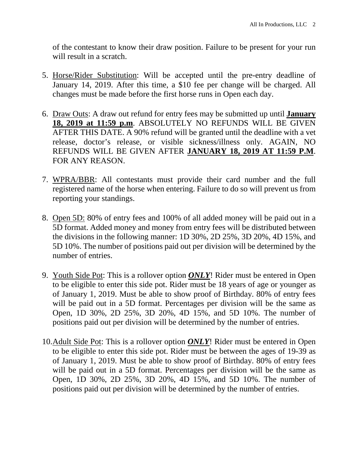of the contestant to know their draw position. Failure to be present for your run will result in a scratch.

- 5. Horse/Rider Substitution: Will be accepted until the pre-entry deadline of January 14, 2019. After this time, a \$10 fee per change will be charged. All changes must be made before the first horse runs in Open each day.
- 6. Draw Outs: A draw out refund for entry fees may be submitted up until **January 18, 2019 at 11:59 p.m**. ABSOLUTELY NO REFUNDS WILL BE GIVEN AFTER THIS DATE. A 90% refund will be granted until the deadline with a vet release, doctor's release, or visible sickness/illness only. AGAIN, NO REFUNDS WILL BE GIVEN AFTER **JANUARY 18, 2019 AT 11:59 P.M**. FOR ANY REASON.
- 7. WPRA/BBR: All contestants must provide their card number and the full registered name of the horse when entering. Failure to do so will prevent us from reporting your standings.
- 8. Open 5D: 80% of entry fees and 100% of all added money will be paid out in a 5D format. Added money and money from entry fees will be distributed between the divisions in the following manner: 1D 30%, 2D 25%, 3D 20%, 4D 15%, and 5D 10%. The number of positions paid out per division will be determined by the number of entries.
- 9. Youth Side Pot: This is a rollover option *ONLY*! Rider must be entered in Open to be eligible to enter this side pot. Rider must be 18 years of age or younger as of January 1, 2019. Must be able to show proof of Birthday. 80% of entry fees will be paid out in a 5D format. Percentages per division will be the same as Open, 1D 30%, 2D 25%, 3D 20%, 4D 15%, and 5D 10%. The number of positions paid out per division will be determined by the number of entries.
- 10.Adult Side Pot: This is a rollover option *ONLY*! Rider must be entered in Open to be eligible to enter this side pot. Rider must be between the ages of 19-39 as of January 1, 2019. Must be able to show proof of Birthday. 80% of entry fees will be paid out in a 5D format. Percentages per division will be the same as Open, 1D 30%, 2D 25%, 3D 20%, 4D 15%, and 5D 10%. The number of positions paid out per division will be determined by the number of entries.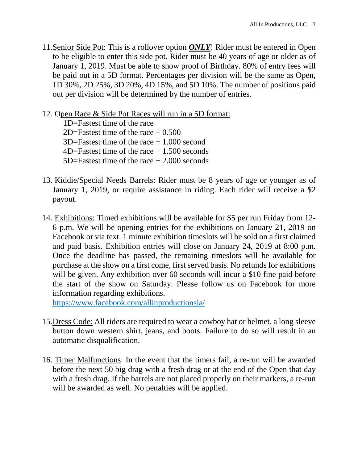- 11.Senior Side Pot: This is a rollover option *ONLY*! Rider must be entered in Open to be eligible to enter this side pot. Rider must be 40 years of age or older as of January 1, 2019. Must be able to show proof of Birthday. 80% of entry fees will be paid out in a 5D format. Percentages per division will be the same as Open, 1D 30%, 2D 25%, 3D 20%, 4D 15%, and 5D 10%. The number of positions paid out per division will be determined by the number of entries.
- 12. Open Race & Side Pot Races will run in a 5D format:

 1D=Fastest time of the race 2D=Fastest time of the race  $+ 0.500$  3D=Fastest time of the race + 1.000 second 4D=Fastest time of the race + 1.500 seconds 5D=Fastest time of the race + 2.000 seconds

- 13. Kiddie/Special Needs Barrels: Rider must be 8 years of age or younger as of January 1, 2019, or require assistance in riding. Each rider will receive a \$2 payout.
- 14. Exhibitions: Timed exhibitions will be available for \$5 per run Friday from 12- 6 p.m. We will be opening entries for the exhibitions on January 21, 2019 on Facebook or via text. 1 minute exhibition timeslots will be sold on a first claimed and paid basis. Exhibition entries will close on January 24, 2019 at 8:00 p.m. Once the deadline has passed, the remaining timeslots will be available for purchase at the show on a first come, first served basis. No refunds for exhibitions will be given. Any exhibition over 60 seconds will incur a \$10 fine paid before the start of the show on Saturday. Please follow us on Facebook for more information regarding exhibitions.

https://www.facebook.com/allinproductionsla/

- 15.Dress Code: All riders are required to wear a cowboy hat or helmet, a long sleeve button down western shirt, jeans, and boots. Failure to do so will result in an automatic disqualification.
- 16. Timer Malfunctions: In the event that the timers fail, a re-run will be awarded before the next 50 big drag with a fresh drag or at the end of the Open that day with a fresh drag. If the barrels are not placed properly on their markers, a re-run will be awarded as well. No penalties will be applied.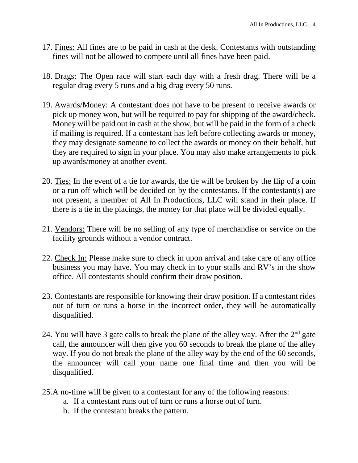- 17. Fines: All fines are to be paid in cash at the desk. Contestants with outstanding fines will not be allowed to compete until all fines have been paid.
- 18. Drags: The Open race will start each day with a fresh drag. There will be a regular drag every 5 runs and a big drag every 50 runs.
- 19. Awards/Money: A contestant does not have to be present to receive awards or pick up money won, but will be required to pay for shipping of the award/check. Money will be paid out in cash at the show, but will be paid in the form of a check if mailing is required. If a contestant has left before collecting awards or money, they may designate someone to collect the awards or money on their behalf, but they are required to sign in your place. You may also make arrangements to pick up awards/money at another event.
- 20. Ties: In the event of a tie for awards, the tie will be broken by the flip of a coin or a run off which will be decided on by the contestants. If the contestant(s) are not present, a member of All In Productions, LLC will stand in their place. If there is a tie in the placings, the money for that place will be divided equally.
- 21. Vendors: There will be no selling of any type of merchandise or service on the facility grounds without a vendor contract.
- 22. Check In: Please make sure to check in upon arrival and take care of any office business you may have. You may check in to your stalls and RV's in the show office. All contestants should confirm their draw position.
- 23. Contestants are responsible for knowing their draw position. If a contestant rides out of turn or runs a horse in the incorrect order, they will be automatically disqualified.
- 24. You will have 3 gate calls to break the plane of the alley way. After the  $2<sup>nd</sup>$  gate call, the announcer will then give you 60 seconds to break the plane of the alley way. If you do not break the plane of the alley way by the end of the 60 seconds, the announcer will call your name one final time and then you will be disqualified.
- 25.A no-time will be given to a contestant for any of the following reasons:
	- a. If a contestant runs out of turn or runs a horse out of turn.
	- b. If the contestant breaks the pattern.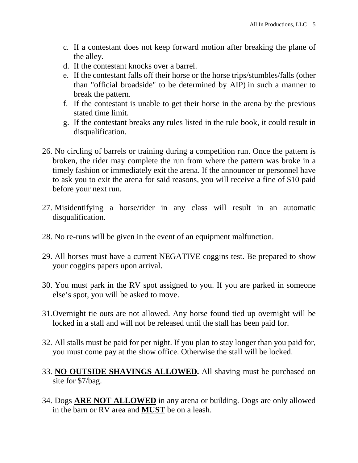- c. If a contestant does not keep forward motion after breaking the plane of the alley.
- d. If the contestant knocks over a barrel.
- e. If the contestant falls off their horse or the horse trips/stumbles/falls (other than "official broadside" to be determined by AIP) in such a manner to break the pattern.
- f. If the contestant is unable to get their horse in the arena by the previous stated time limit.
- g. If the contestant breaks any rules listed in the rule book, it could result in disqualification.
- 26. No circling of barrels or training during a competition run. Once the pattern is broken, the rider may complete the run from where the pattern was broke in a timely fashion or immediately exit the arena. If the announcer or personnel have to ask you to exit the arena for said reasons, you will receive a fine of \$10 paid before your next run.
- 27. Misidentifying a horse/rider in any class will result in an automatic disqualification.
- 28. No re-runs will be given in the event of an equipment malfunction.
- 29. All horses must have a current NEGATIVE coggins test. Be prepared to show your coggins papers upon arrival.
- 30. You must park in the RV spot assigned to you. If you are parked in someone else's spot, you will be asked to move.
- 31.Overnight tie outs are not allowed. Any horse found tied up overnight will be locked in a stall and will not be released until the stall has been paid for.
- 32. All stalls must be paid for per night. If you plan to stay longer than you paid for, you must come pay at the show office. Otherwise the stall will be locked.
- 33. **NO OUTSIDE SHAVINGS ALLOWED.** All shaving must be purchased on site for \$7/bag.
- 34. Dogs **ARE NOT ALLOWED** in any arena or building. Dogs are only allowed in the barn or RV area and **MUST** be on a leash.